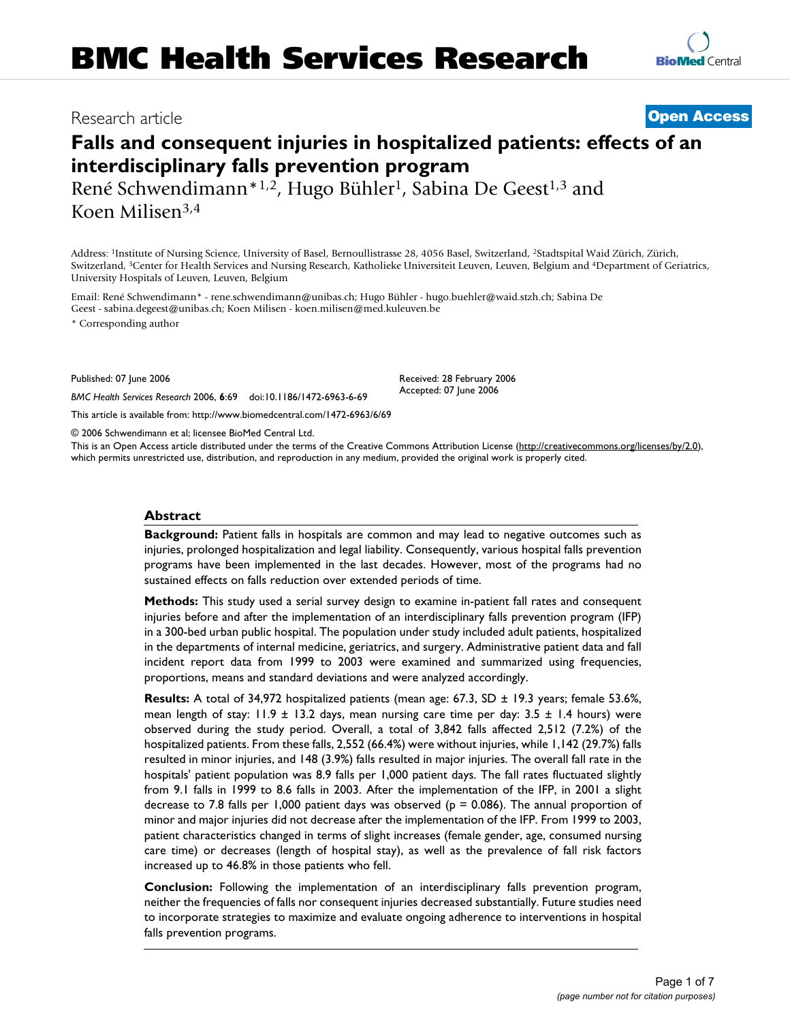# Research article **[Open Access](http://www.biomedcentral.com/info/about/charter/)**

# **Falls and consequent injuries in hospitalized patients: effects of an interdisciplinary falls prevention program**

René Schwendimann<sup>\*1,2</sup>, Hugo Bühler<sup>1</sup>, Sabina De Geest<sup>1,3</sup> and Koen Milisen3,4

Address: 1Institute of Nursing Science, University of Basel, Bernoullistrasse 28, 4056 Basel, Switzerland, 2Stadtspital Waid Zürich, Zürich, Switzerland, 3Center for Health Services and Nursing Research, Katholieke Universiteit Leuven, Leuven, Belgium and 4Department of Geriatrics, University Hospitals of Leuven, Leuven, Belgium

Email: René Schwendimann\* - rene.schwendimann@unibas.ch; Hugo Bühler - hugo.buehler@waid.stzh.ch; Sabina De Geest - sabina.degeest@unibas.ch; Koen Milisen - koen.milisen@med.kuleuven.be

\* Corresponding author

Published: 07 June 2006

Received: 28 February 2006 Accepted: 07 June 2006

[This article is available from: http://www.biomedcentral.com/1472-6963/6/69](http://www.biomedcentral.com/1472-6963/6/69)

*BMC Health Services Research* 2006, **6**:69 doi:10.1186/1472-6963-6-69

© 2006 Schwendimann et al; licensee BioMed Central Ltd.

This is an Open Access article distributed under the terms of the Creative Commons Attribution License [\(http://creativecommons.org/licenses/by/2.0\)](http://creativecommons.org/licenses/by/2.0), which permits unrestricted use, distribution, and reproduction in any medium, provided the original work is properly cited.

# **Abstract**

**Background:** Patient falls in hospitals are common and may lead to negative outcomes such as injuries, prolonged hospitalization and legal liability. Consequently, various hospital falls prevention programs have been implemented in the last decades. However, most of the programs had no sustained effects on falls reduction over extended periods of time.

**Methods:** This study used a serial survey design to examine in-patient fall rates and consequent injuries before and after the implementation of an interdisciplinary falls prevention program (IFP) in a 300-bed urban public hospital. The population under study included adult patients, hospitalized in the departments of internal medicine, geriatrics, and surgery. Administrative patient data and fall incident report data from 1999 to 2003 were examined and summarized using frequencies, proportions, means and standard deviations and were analyzed accordingly.

**Results:** A total of 34,972 hospitalized patients (mean age: 67.3, SD ± 19.3 years; female 53.6%, mean length of stay:  $11.9 \pm 13.2$  days, mean nursing care time per day:  $3.5 \pm 1.4$  hours) were observed during the study period. Overall, a total of 3,842 falls affected 2,512 (7.2%) of the hospitalized patients. From these falls, 2,552 (66.4%) were without injuries, while 1,142 (29.7%) falls resulted in minor injuries, and 148 (3.9%) falls resulted in major injuries. The overall fall rate in the hospitals' patient population was 8.9 falls per 1,000 patient days. The fall rates fluctuated slightly from 9.1 falls in 1999 to 8.6 falls in 2003. After the implementation of the IFP, in 2001 a slight decrease to 7.8 falls per 1,000 patient days was observed ( $p = 0.086$ ). The annual proportion of minor and major injuries did not decrease after the implementation of the IFP. From 1999 to 2003, patient characteristics changed in terms of slight increases (female gender, age, consumed nursing care time) or decreases (length of hospital stay), as well as the prevalence of fall risk factors increased up to 46.8% in those patients who fell.

**Conclusion:** Following the implementation of an interdisciplinary falls prevention program, neither the frequencies of falls nor consequent injuries decreased substantially. Future studies need to incorporate strategies to maximize and evaluate ongoing adherence to interventions in hospital falls prevention programs.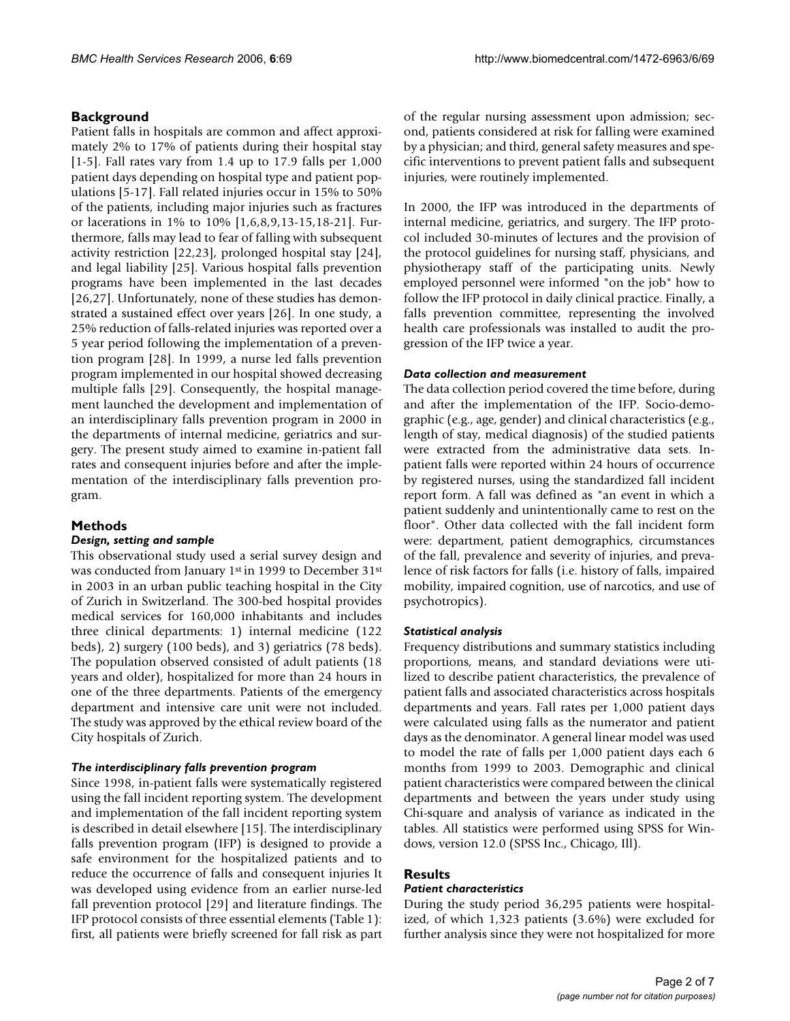# **Background**

Patient falls in hospitals are common and affect approximately 2% to 17% of patients during their hospital stay [1-5]. Fall rates vary from 1.4 up to 17.9 falls per 1,000 patient days depending on hospital type and patient populations [5-17]. Fall related injuries occur in 15% to 50% of the patients, including major injuries such as fractures or lacerations in 1% to 10% [1,6,8,9,13-15,18-21]. Furthermore, falls may lead to fear of falling with subsequent activity restriction [22,23], prolonged hospital stay [24], and legal liability [25]. Various hospital falls prevention programs have been implemented in the last decades [26,27]. Unfortunately, none of these studies has demonstrated a sustained effect over years [26]. In one study, a 25% reduction of falls-related injuries was reported over a 5 year period following the implementation of a prevention program [28]. In 1999, a nurse led falls prevention program implemented in our hospital showed decreasing multiple falls [29]. Consequently, the hospital management launched the development and implementation of an interdisciplinary falls prevention program in 2000 in the departments of internal medicine, geriatrics and surgery. The present study aimed to examine in-patient fall rates and consequent injuries before and after the implementation of the interdisciplinary falls prevention program.

### **Methods**

### *Design, setting and sample*

This observational study used a serial survey design and was conducted from January 1st in 1999 to December 31st in 2003 in an urban public teaching hospital in the City of Zurich in Switzerland. The 300-bed hospital provides medical services for 160,000 inhabitants and includes three clinical departments: 1) internal medicine (122 beds), 2) surgery (100 beds), and 3) geriatrics (78 beds). The population observed consisted of adult patients (18 years and older), hospitalized for more than 24 hours in one of the three departments. Patients of the emergency department and intensive care unit were not included. The study was approved by the ethical review board of the City hospitals of Zurich.

#### *The interdisciplinary falls prevention program*

Since 1998, in-patient falls were systematically registered using the fall incident reporting system. The development and implementation of the fall incident reporting system is described in detail elsewhere [15]. The interdisciplinary falls prevention program (IFP) is designed to provide a safe environment for the hospitalized patients and to reduce the occurrence of falls and consequent injuries It was developed using evidence from an earlier nurse-led fall prevention protocol [29] and literature findings. The IFP protocol consists of three essential elements (Table 1): first, all patients were briefly screened for fall risk as part of the regular nursing assessment upon admission; second, patients considered at risk for falling were examined by a physician; and third, general safety measures and specific interventions to prevent patient falls and subsequent injuries, were routinely implemented.

In 2000, the IFP was introduced in the departments of internal medicine, geriatrics, and surgery. The IFP protocol included 30-minutes of lectures and the provision of the protocol guidelines for nursing staff, physicians, and physiotherapy staff of the participating units. Newly employed personnel were informed "on the job" how to follow the IFP protocol in daily clinical practice. Finally, a falls prevention committee, representing the involved health care professionals was installed to audit the progression of the IFP twice a year.

#### *Data collection and measurement*

The data collection period covered the time before, during and after the implementation of the IFP. Socio-demographic (e.g., age, gender) and clinical characteristics (e.g., length of stay, medical diagnosis) of the studied patients were extracted from the administrative data sets. Inpatient falls were reported within 24 hours of occurrence by registered nurses, using the standardized fall incident report form. A fall was defined as "an event in which a patient suddenly and unintentionally came to rest on the floor". Other data collected with the fall incident form were: department, patient demographics, circumstances of the fall, prevalence and severity of injuries, and prevalence of risk factors for falls (i.e. history of falls, impaired mobility, impaired cognition, use of narcotics, and use of psychotropics).

#### *Statistical analysis*

Frequency distributions and summary statistics including proportions, means, and standard deviations were utilized to describe patient characteristics, the prevalence of patient falls and associated characteristics across hospitals departments and years. Fall rates per 1,000 patient days were calculated using falls as the numerator and patient days as the denominator. A general linear model was used to model the rate of falls per 1,000 patient days each 6 months from 1999 to 2003. Demographic and clinical patient characteristics were compared between the clinical departments and between the years under study using Chi-square and analysis of variance as indicated in the tables. All statistics were performed using SPSS for Windows, version 12.0 (SPSS Inc., Chicago, Ill).

# **Results**

#### *Patient characteristics*

During the study period 36,295 patients were hospitalized, of which 1,323 patients (3.6%) were excluded for further analysis since they were not hospitalized for more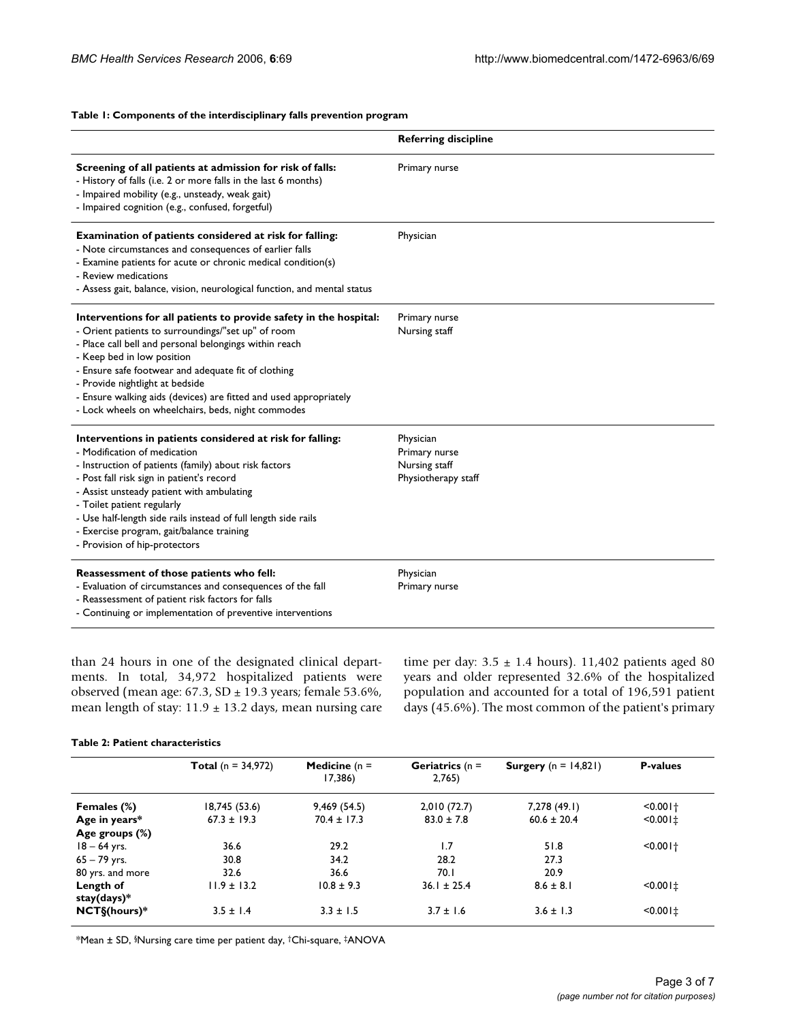# **Table 1: Components of the interdisciplinary falls prevention program**

|                                                                                                                                                                                                                                                                                                                                                                                                                                      | <b>Referring discipline</b>                                        |
|--------------------------------------------------------------------------------------------------------------------------------------------------------------------------------------------------------------------------------------------------------------------------------------------------------------------------------------------------------------------------------------------------------------------------------------|--------------------------------------------------------------------|
| Screening of all patients at admission for risk of falls:<br>- History of falls (i.e. 2 or more falls in the last 6 months)<br>- Impaired mobility (e.g., unsteady, weak gait)<br>- Impaired cognition (e.g., confused, forgetful)                                                                                                                                                                                                   | Primary nurse                                                      |
| Examination of patients considered at risk for falling:<br>- Note circumstances and consequences of earlier falls<br>- Examine patients for acute or chronic medical condition(s)<br>- Review medications<br>- Assess gait, balance, vision, neurological function, and mental status                                                                                                                                                | Physician                                                          |
| Interventions for all patients to provide safety in the hospital:<br>- Orient patients to surroundings/"set up" of room<br>- Place call bell and personal belongings within reach<br>- Keep bed in low position<br>- Ensure safe footwear and adequate fit of clothing<br>- Provide nightlight at bedside<br>- Ensure walking aids (devices) are fitted and used appropriately<br>- Lock wheels on wheelchairs, beds, night commodes | Primary nurse<br>Nursing staff                                     |
| Interventions in patients considered at risk for falling:<br>- Modification of medication<br>- Instruction of patients (family) about risk factors<br>- Post fall risk sign in patient's record<br>- Assist unsteady patient with ambulating<br>- Toilet patient regularly<br>- Use half-length side rails instead of full length side rails<br>- Exercise program, gait/balance training<br>- Provision of hip-protectors           | Physician<br>Primary nurse<br>Nursing staff<br>Physiotherapy staff |
| Reassessment of those patients who fell:<br>- Evaluation of circumstances and consequences of the fall<br>- Reassessment of patient risk factors for falls<br>- Continuing or implementation of preventive interventions                                                                                                                                                                                                             | Physician<br>Primary nurse                                         |

than 24 hours in one of the designated clinical departments. In total, 34,972 hospitalized patients were observed (mean age: 67.3, SD ± 19.3 years; female 53.6%, mean length of stay:  $11.9 \pm 13.2$  days, mean nursing care time per day:  $3.5 \pm 1.4$  hours). 11,402 patients aged 80 years and older represented 32.6% of the hospitalized population and accounted for a total of 196,591 patient days (45.6%). The most common of the patient's primary

### **Table 2: Patient characteristics**

|                          | <b>Total</b> ( $n = 34,972$ ) | <b>Medicine</b> ( $n =$<br>17,386) | <b>Geriatrics</b> ( $n =$<br>2,765 | <b>Surgery</b> $(n = 14,821)$ | <b>P-values</b> |
|--------------------------|-------------------------------|------------------------------------|------------------------------------|-------------------------------|-----------------|
| Females (%)              | 18,745 (53.6)                 | 9,469(54.5)                        | 2,010(72.7)                        | 7,278 (49.1)                  | $< 0.001 +$     |
| Age in years*            | $67.3 \pm 19.3$               | $70.4 \pm 17.3$                    | $83.0 \pm 7.8$                     | $60.6 \pm 20.4$               | $< 0.001 \pm$   |
| Age groups (%)           |                               |                                    |                                    |                               |                 |
| $18 - 64$ yrs.           | 36.6                          | 29.2                               | 1.7                                | 51.8                          | $< 0.001 +$     |
| $65 - 79$ yrs.           | 30.8                          | 34.2                               | 28.2                               | 27.3                          |                 |
| 80 yrs. and more         | 32.6                          | 36.6                               | 70.1                               | 20.9                          |                 |
| Length of<br>stay(days)* | $11.9 \pm 13.2$               | $10.8 \pm 9.3$                     | $36.1 \pm 25.4$                    | $8.6 \pm 8.1$                 | $< 0.001 \pm$   |
| $NCT\$ (hours)*          | $3.5 \pm 1.4$                 | $3.3 \pm 1.5$                      | $3.7 \pm 1.6$                      | $3.6 \pm 1.3$                 | $< 0.001 \pm$   |

\*Mean ± SD, §Nursing care time per patient day, †Chi-square, ‡ANOVA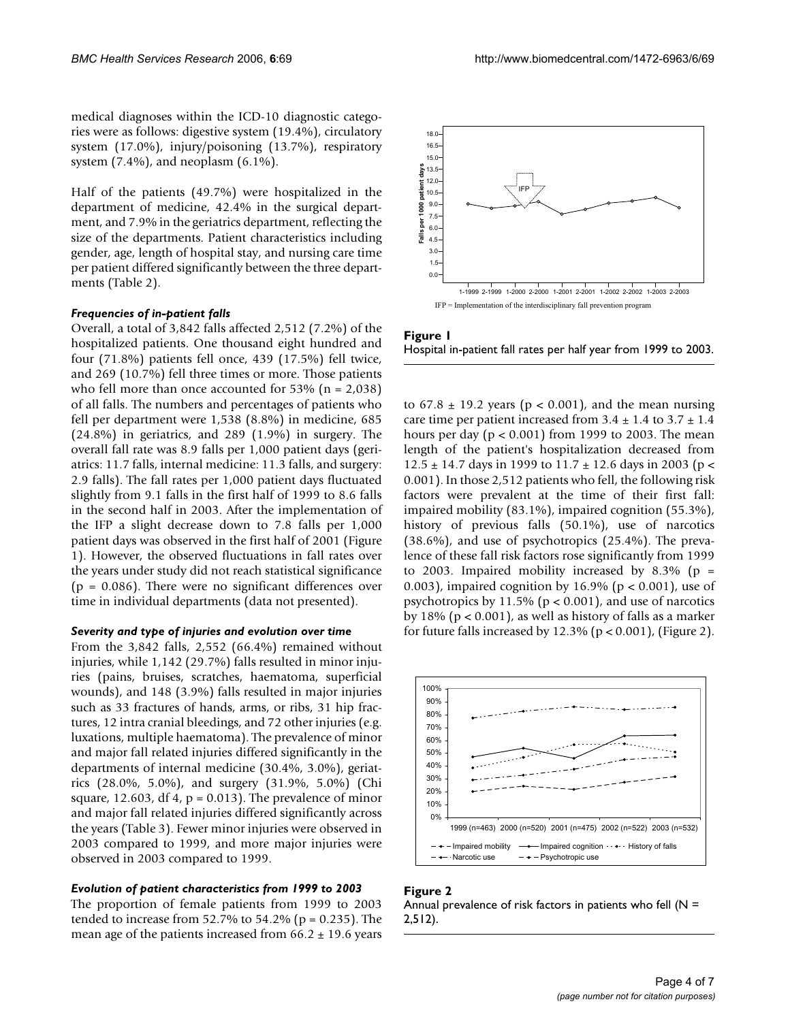medical diagnoses within the ICD-10 diagnostic categories were as follows: digestive system (19.4%), circulatory system (17.0%), injury/poisoning (13.7%), respiratory system (7.4%), and neoplasm (6.1%).

Half of the patients (49.7%) were hospitalized in the department of medicine, 42.4% in the surgical department, and 7.9% in the geriatrics department, reflecting the size of the departments. Patient characteristics including gender, age, length of hospital stay, and nursing care time per patient differed significantly between the three departments (Table 2).

# *Frequencies of in-patient falls*

Overall, a total of 3,842 falls affected 2,512 (7.2%) of the hospitalized patients. One thousand eight hundred and four (71.8%) patients fell once, 439 (17.5%) fell twice, and 269 (10.7%) fell three times or more. Those patients who fell more than once accounted for  $53\%$  (n = 2,038) of all falls. The numbers and percentages of patients who fell per department were 1,538 (8.8%) in medicine, 685 (24.8%) in geriatrics, and 289 (1.9%) in surgery. The overall fall rate was 8.9 falls per 1,000 patient days (geriatrics: 11.7 falls, internal medicine: 11.3 falls, and surgery: 2.9 falls). The fall rates per 1,000 patient days fluctuated slightly from 9.1 falls in the first half of 1999 to 8.6 falls in the second half in 2003. After the implementation of the IFP a slight decrease down to 7.8 falls per 1,000 patient days was observed in the first half of 2001 (Figure 1). However, the observed fluctuations in fall rates over the years under study did not reach statistical significance  $(p = 0.086)$ . There were no significant differences over time in individual departments (data not presented).

#### *Severity and type of injuries and evolution over time*

From the 3,842 falls, 2,552 (66.4%) remained without injuries, while 1,142 (29.7%) falls resulted in minor injuries (pains, bruises, scratches, haematoma, superficial wounds), and 148 (3.9%) falls resulted in major injuries such as 33 fractures of hands, arms, or ribs, 31 hip fractures, 12 intra cranial bleedings, and 72 other injuries (e.g. luxations, multiple haematoma). The prevalence of minor and major fall related injuries differed significantly in the departments of internal medicine (30.4%, 3.0%), geriatrics (28.0%, 5.0%), and surgery (31.9%, 5.0%) (Chi square, 12.603, df 4,  $p = 0.013$ ). The prevalence of minor and major fall related injuries differed significantly across the years (Table 3). Fewer minor injuries were observed in 2003 compared to 1999, and more major injuries were observed in 2003 compared to 1999.

#### *Evolution of patient characteristics from 1999 to 2003*

The proportion of female patients from 1999 to 2003 tended to increase from  $52.7\%$  to  $54.2\%$  (p = 0.235). The mean age of the patients increased from  $66.2 \pm 19.6$  years





to  $67.8 \pm 19.2$  years ( $p < 0.001$ ), and the mean nursing care time per patient increased from  $3.4 \pm 1.4$  to  $3.7 \pm 1.4$ hours per day ( $p < 0.001$ ) from 1999 to 2003. The mean length of the patient's hospitalization decreased from  $12.5 \pm 14.7$  days in 1999 to  $11.7 \pm 12.6$  days in 2003 (p < 0.001). In those 2,512 patients who fell, the following risk factors were prevalent at the time of their first fall: impaired mobility (83.1%), impaired cognition (55.3%), history of previous falls (50.1%), use of narcotics (38.6%), and use of psychotropics (25.4%). The prevalence of these fall risk factors rose significantly from 1999 to 2003. Impaired mobility increased by  $8.3\%$  (p = 0.003), impaired cognition by 16.9% ( $p < 0.001$ ), use of psychotropics by  $11.5\%$  (p < 0.001), and use of narcotics by 18% (p < 0.001), as well as history of falls as a marker for future falls increased by  $12.3\%$  (p < 0.001), (Figure 2).



# **Figure 2** Annual prevalence of risk factors in patients who fell ( $N =$ 2,512).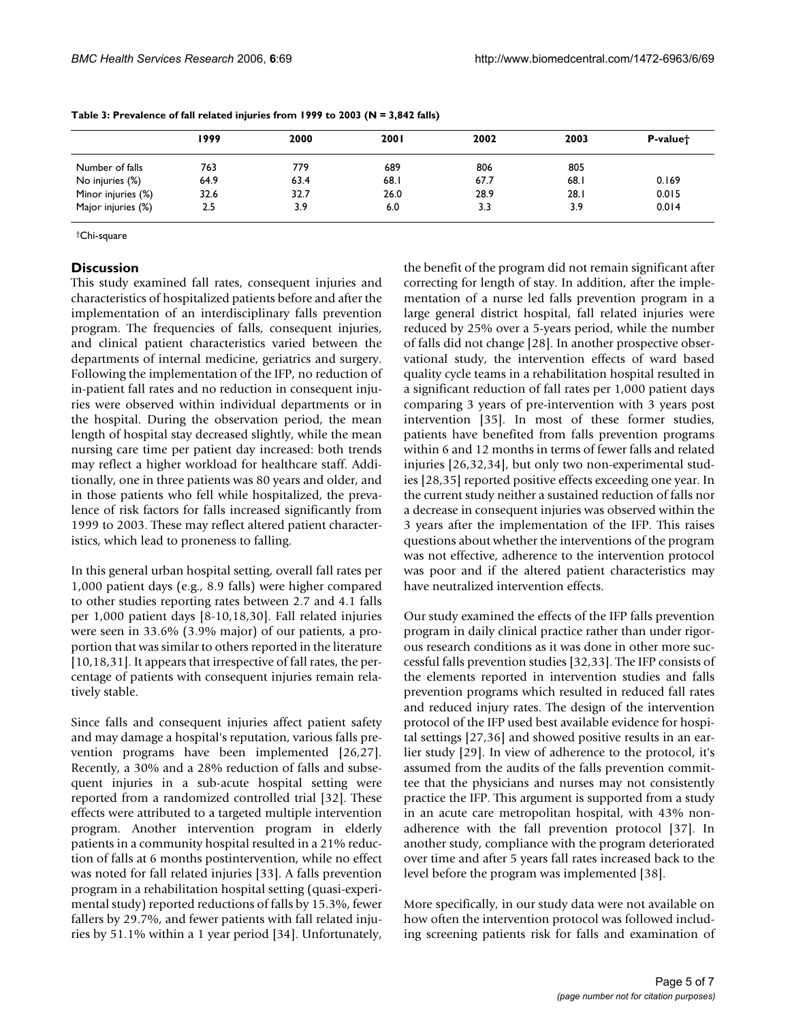|                    | 1999 | 2000 | 2001 | 2002 | 2003 | P-value <sup>+</sup> |
|--------------------|------|------|------|------|------|----------------------|
| Number of falls    | 763  | 779  | 689  | 806  | 805  |                      |
| No injuries (%)    | 64.9 | 63.4 | 68.1 | 67.7 | 68.1 | 0.169                |
| Minor injuries (%) | 32.6 | 32.7 | 26.0 | 28.9 | 28.1 | 0.015                |
| Major injuries (%) | 2.5  | 3.9  | 6.0  | 3.3  | 3.9  | 0.014                |

**Table 3: Prevalence of fall related injuries from 1999 to 2003 (N = 3,842 falls)**

†Chi-square

# **Discussion**

This study examined fall rates, consequent injuries and characteristics of hospitalized patients before and after the implementation of an interdisciplinary falls prevention program. The frequencies of falls, consequent injuries, and clinical patient characteristics varied between the departments of internal medicine, geriatrics and surgery. Following the implementation of the IFP, no reduction of in-patient fall rates and no reduction in consequent injuries were observed within individual departments or in the hospital. During the observation period, the mean length of hospital stay decreased slightly, while the mean nursing care time per patient day increased: both trends may reflect a higher workload for healthcare staff. Additionally, one in three patients was 80 years and older, and in those patients who fell while hospitalized, the prevalence of risk factors for falls increased significantly from 1999 to 2003. These may reflect altered patient characteristics, which lead to proneness to falling.

In this general urban hospital setting, overall fall rates per 1,000 patient days (e.g., 8.9 falls) were higher compared to other studies reporting rates between 2.7 and 4.1 falls per 1,000 patient days [8-10,18,30]. Fall related injuries were seen in 33.6% (3.9% major) of our patients, a proportion that was similar to others reported in the literature [10,18,31]. It appears that irrespective of fall rates, the percentage of patients with consequent injuries remain relatively stable.

Since falls and consequent injuries affect patient safety and may damage a hospital's reputation, various falls prevention programs have been implemented [26,27]. Recently, a 30% and a 28% reduction of falls and subsequent injuries in a sub-acute hospital setting were reported from a randomized controlled trial [32]. These effects were attributed to a targeted multiple intervention program. Another intervention program in elderly patients in a community hospital resulted in a 21% reduction of falls at 6 months postintervention, while no effect was noted for fall related injuries [33]. A falls prevention program in a rehabilitation hospital setting (quasi-experimental study) reported reductions of falls by 15.3%, fewer fallers by 29.7%, and fewer patients with fall related injuries by 51.1% within a 1 year period [34]. Unfortunately,

the benefit of the program did not remain significant after correcting for length of stay. In addition, after the implementation of a nurse led falls prevention program in a large general district hospital, fall related injuries were reduced by 25% over a 5-years period, while the number of falls did not change [28]. In another prospective observational study, the intervention effects of ward based quality cycle teams in a rehabilitation hospital resulted in a significant reduction of fall rates per 1,000 patient days comparing 3 years of pre-intervention with 3 years post intervention [35]. In most of these former studies, patients have benefited from falls prevention programs within 6 and 12 months in terms of fewer falls and related injuries [26,32,34], but only two non-experimental studies [28,35] reported positive effects exceeding one year. In the current study neither a sustained reduction of falls nor a decrease in consequent injuries was observed within the 3 years after the implementation of the IFP. This raises questions about whether the interventions of the program was not effective, adherence to the intervention protocol was poor and if the altered patient characteristics may have neutralized intervention effects.

Our study examined the effects of the IFP falls prevention program in daily clinical practice rather than under rigorous research conditions as it was done in other more successful falls prevention studies [32,33]. The IFP consists of the elements reported in intervention studies and falls prevention programs which resulted in reduced fall rates and reduced injury rates. The design of the intervention protocol of the IFP used best available evidence for hospital settings [27,36] and showed positive results in an earlier study [29]. In view of adherence to the protocol, it's assumed from the audits of the falls prevention committee that the physicians and nurses may not consistently practice the IFP. This argument is supported from a study in an acute care metropolitan hospital, with 43% nonadherence with the fall prevention protocol [37]. In another study, compliance with the program deteriorated over time and after 5 years fall rates increased back to the level before the program was implemented [38].

More specifically, in our study data were not available on how often the intervention protocol was followed including screening patients risk for falls and examination of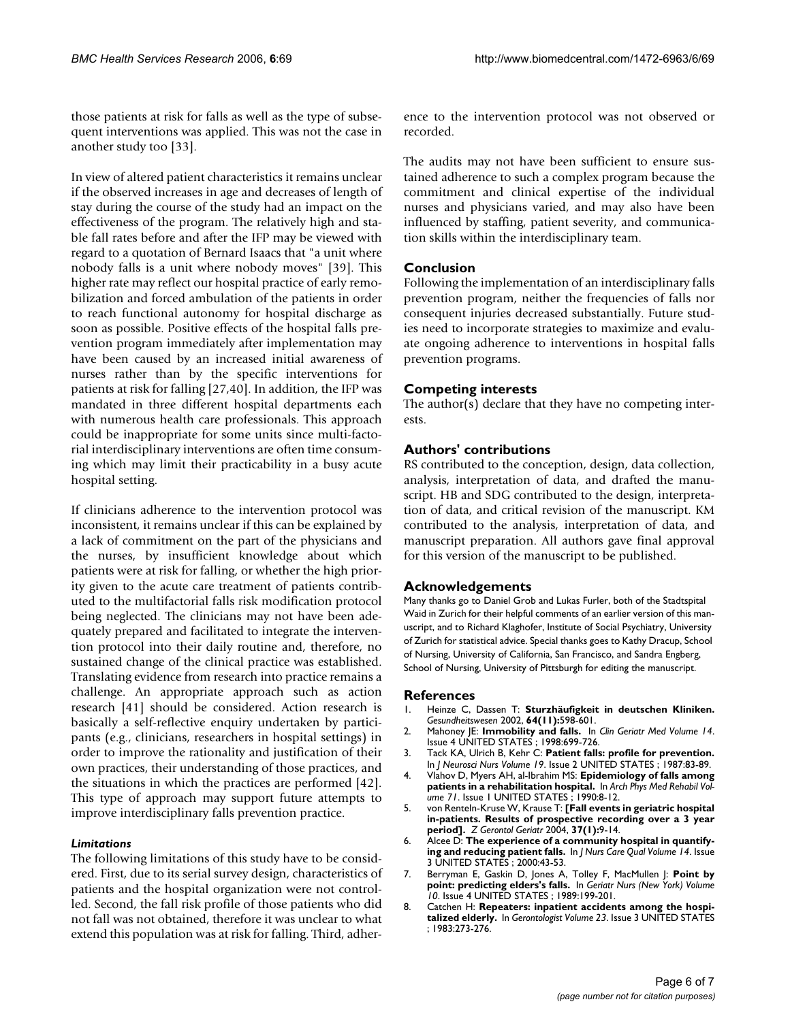those patients at risk for falls as well as the type of subsequent interventions was applied. This was not the case in another study too [33].

In view of altered patient characteristics it remains unclear if the observed increases in age and decreases of length of stay during the course of the study had an impact on the effectiveness of the program. The relatively high and stable fall rates before and after the IFP may be viewed with regard to a quotation of Bernard Isaacs that "a unit where nobody falls is a unit where nobody moves" [39]. This higher rate may reflect our hospital practice of early remobilization and forced ambulation of the patients in order to reach functional autonomy for hospital discharge as soon as possible. Positive effects of the hospital falls prevention program immediately after implementation may have been caused by an increased initial awareness of nurses rather than by the specific interventions for patients at risk for falling [27,40]. In addition, the IFP was mandated in three different hospital departments each with numerous health care professionals. This approach could be inappropriate for some units since multi-factorial interdisciplinary interventions are often time consuming which may limit their practicability in a busy acute hospital setting.

If clinicians adherence to the intervention protocol was inconsistent, it remains unclear if this can be explained by a lack of commitment on the part of the physicians and the nurses, by insufficient knowledge about which patients were at risk for falling, or whether the high priority given to the acute care treatment of patients contributed to the multifactorial falls risk modification protocol being neglected. The clinicians may not have been adequately prepared and facilitated to integrate the intervention protocol into their daily routine and, therefore, no sustained change of the clinical practice was established. Translating evidence from research into practice remains a challenge. An appropriate approach such as action research [41] should be considered. Action research is basically a self-reflective enquiry undertaken by participants (e.g., clinicians, researchers in hospital settings) in order to improve the rationality and justification of their own practices, their understanding of those practices, and the situations in which the practices are performed [42]. This type of approach may support future attempts to improve interdisciplinary falls prevention practice.

# *Limitations*

The following limitations of this study have to be considered. First, due to its serial survey design, characteristics of patients and the hospital organization were not controlled. Second, the fall risk profile of those patients who did not fall was not obtained, therefore it was unclear to what extend this population was at risk for falling. Third, adherence to the intervention protocol was not observed or recorded.

The audits may not have been sufficient to ensure sustained adherence to such a complex program because the commitment and clinical expertise of the individual nurses and physicians varied, and may also have been influenced by staffing, patient severity, and communication skills within the interdisciplinary team.

# **Conclusion**

Following the implementation of an interdisciplinary falls prevention program, neither the frequencies of falls nor consequent injuries decreased substantially. Future studies need to incorporate strategies to maximize and evaluate ongoing adherence to interventions in hospital falls prevention programs.

# **Competing interests**

The author(s) declare that they have no competing interests.

# **Authors' contributions**

RS contributed to the conception, design, data collection, analysis, interpretation of data, and drafted the manuscript. HB and SDG contributed to the design, interpretation of data, and critical revision of the manuscript. KM contributed to the analysis, interpretation of data, and manuscript preparation. All authors gave final approval for this version of the manuscript to be published.

# **Acknowledgements**

Many thanks go to Daniel Grob and Lukas Furler, both of the Stadtspital Waid in Zurich for their helpful comments of an earlier version of this manuscript, and to Richard Klaghofer, Institute of Social Psychiatry, University of Zurich for statistical advice. Special thanks goes to Kathy Dracup, School of Nursing, University of California, San Francisco, and Sandra Engberg, School of Nursing, University of Pittsburgh for editing the manuscript.

### **References**

- 1. Heinze C, Dassen T: **[Sturzhäufigkeit in deutschen Kliniken.](http://www.ncbi.nlm.nih.gov/entrez/query.fcgi?cmd=Retrieve&db=PubMed&dopt=Abstract&list_uids=12442219)** *Gesundheitswesen* 2002, **64(11):**598-601.
- 2. Mahoney JE: **[Immobility and falls.](http://www.ncbi.nlm.nih.gov/entrez/query.fcgi?cmd=Retrieve&db=PubMed&dopt=Abstract&list_uids=9799475)** In *Clin Geriatr Med Volume 14*. Issue 4 UNITED STATES ; 1998:699-726.
- 3. Tack KA, Ulrich B, Kehr C: **[Patient falls: profile for prevention.](http://www.ncbi.nlm.nih.gov/entrez/query.fcgi?cmd=Retrieve&db=PubMed&dopt=Abstract&list_uids=2952743)** In *J Neurosci Nurs Volume 19*. Issue 2 UNITED STATES ; 1987:83-89.
- 4. Vlahov D, Myers AH, al-Ibrahim MS: **[Epidemiology of falls among](http://www.ncbi.nlm.nih.gov/entrez/query.fcgi?cmd=Retrieve&db=PubMed&dopt=Abstract&list_uids=2297314) [patients in a rehabilitation hospital.](http://www.ncbi.nlm.nih.gov/entrez/query.fcgi?cmd=Retrieve&db=PubMed&dopt=Abstract&list_uids=2297314)** In *Arch Phys Med Rehabil Volume 71*. Issue 1 UNITED STATES ; 1990:8-12.
- 5. von Renteln-Kruse W, Krause T: **[\[Fall events in geriatric hospital](http://www.ncbi.nlm.nih.gov/entrez/query.fcgi?cmd=Retrieve&db=PubMed&dopt=Abstract&list_uids=14991290) [in-patients. Results of prospective recording over a 3 year](http://www.ncbi.nlm.nih.gov/entrez/query.fcgi?cmd=Retrieve&db=PubMed&dopt=Abstract&list_uids=14991290) [period\].](http://www.ncbi.nlm.nih.gov/entrez/query.fcgi?cmd=Retrieve&db=PubMed&dopt=Abstract&list_uids=14991290)** *Z Gerontol Geriatr* 2004, **37(1):**9-14.
- 6. Alcee D: **[The experience of a community hospital in quantify](http://www.ncbi.nlm.nih.gov/entrez/query.fcgi?cmd=Retrieve&db=PubMed&dopt=Abstract&list_uids=10826234)[ing and reducing patient falls.](http://www.ncbi.nlm.nih.gov/entrez/query.fcgi?cmd=Retrieve&db=PubMed&dopt=Abstract&list_uids=10826234)** In *J Nurs Care Qual Volume 14*. Issue 3 UNITED STATES ; 2000:43-53.
- 7. Berryman E, Gaskin D, Jones A, Tolley F, MacMullen J: **Point by point: predicting elders's falls.** In *Geriatr Nurs (New York) Volume 10*. Issue 4 UNITED STATES ; 1989:199-201.
- 8. Catchen H: **[Repeaters: inpatient accidents among the hospi](http://www.ncbi.nlm.nih.gov/entrez/query.fcgi?cmd=Retrieve&db=PubMed&dopt=Abstract&list_uids=6873696)[talized elderly.](http://www.ncbi.nlm.nih.gov/entrez/query.fcgi?cmd=Retrieve&db=PubMed&dopt=Abstract&list_uids=6873696)** In *Gerontologist Volume 23*. Issue 3 UNITED STATES ; 1983:273-276.